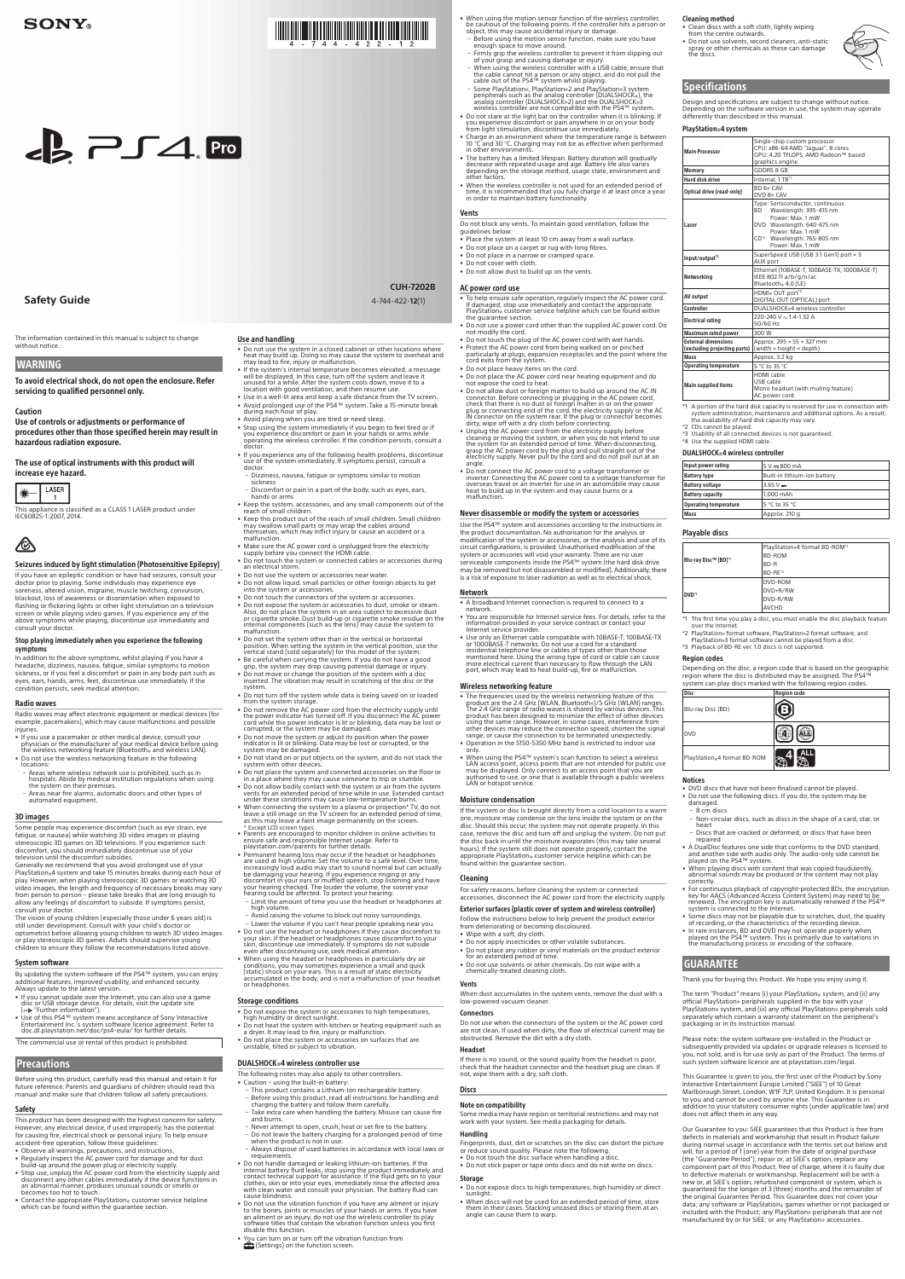# **THE REAL PROPERTY OF PERSONS ASSESSED**

• Do not use the system in a closed cabinet or other locations where<br>heat may build up. Doing so may cause the system to overheat and<br>may lead to fire, injury or malfunction.

• If the system's internal temperature becomes elevated, a message<br>will be displayed. In this case, turn off the system and leave it<br>unused for a while. After the system cools down, move it to a<br>location with good ventilat • Use in a well-lit area and keep a safe distance from the TV screen • Avoid prolonged use of the PS4™ system. Take a 15-minute break<br>• during each hour of play.

• Avoid playing when you are tired or need sleep.<br>• Stop using the system immediately if you begin to feel tired or if<br>you experience discomfort or pain in your hands or arms while<br>operating the wireless controller. If the

If you experience any of the following health problems, discontinue<br>use of the system immediately. If symptoms persist, consult a

• Keep the system, accessories, and any small components out of the reach of small children. reach of small children.<br>• Keep this product out of the reach of small children. Small children<br>may swallow small parts or may wrap the cables around<br>themselves, which may inflict injury or cause an accident or a<br>malfuncti

- Dizziness, nausea, fatigue or symptoms similar to motion sickness<br>– Discomfort or pain in a part of the body, such as eyes, ears,

• Make sure the AC power cord is unplugged from the electricity<br>• supply before you connect the HDMI cable. • Do not touch the system or connected cables or accessories during<br>an electrical storm.

• Do not allow liquid, small particles or other foreign objects to get into the system or accessories.

• Do not touch the connectors of the system or accessories.<br>• Do not expose the system or accessories to dust, smoke or steam.<br>Also, do not place the system in an area subject to excessive dust<br>or cigarette smoke. Dust bui

• Do not turn off the system while data is being saved on or loaded<br>from the system storage.<br>• Do not remove the AC power cord from the electricity supply until<br>the power indicator has turned off. If you disconnect the AC

• Do not move the system or adjust its position when the power<br>indicator is lit or blinking. Data may be lost or corrupted, or the<br>system may be damaged. • Do not stand on or put objects on the system, and do not stack the system with other devices. • Do not place the system and connected accessories on the floor or<br>in a place where they may cause someone to trip or stumble.<br>• Do not allow bodily contact with the system or air from the system vents for an extended period of time while in use. Extended contact<br>under these conditions may cause low-temperature burns.

• When connecting the system to a plasma or projection\* TV, do not leave a still image on the TV screen for an extended period of time,<br>as this may leave a faint image permanently on the screen.<br>\* Except LCD screen types<br>\*

• Permanent hearing loss may occur if the headset or headphones<br>are used at high volume. Set the volume to a safe level. Over time, increasingly loud audio may start to sound normal but can actually be damaging your hearing. If you experience ringing or any<br>discomfort in your ears or muffled speech, stop listening and have your hearing checked. The louder the volume, the sooner your<br>hearing could be affected. To protect your hearing: Limit the amount of time you use the headset or headphones at

. surroundings in the volume to block out noisy surroundings. - Lower the volume if you can't hear people speaking near you.<br>• Do not use the headset or headphones if they cause discomfort to your skin. If the headset or headphones cause discomfort to your<br>skin, discontinue use immediately. If symptoms do not subside<br>even after discontinuing use, seek medical attention. • When using the headset or headphones in particularly dry air

• Do not set the system other than in the vertical or horizontal position. When setting the system in the vertical position, use the<br>vertical stand (sold separately) for this model of the system. • Be careful when carrying the system. If you do not have a good<br>• grip, the system may drop causing potential damage or injury. • Do not move or change the position of the system with a disc<br>inserted. The vibration may result in scratching of the disc or the

. Do not use the system or accessories near water

Use and handling

doctor.

**CUH-7202B** (1)4-744-422-**12**

- Do not block any vents. To maintain good ventilation, follow the guidelines below
- . Place the system at least 10 cm away from a wall surface • Do not place on a carpet or rug with long fibres
- . Do not place in a narrow or cramped space.
- . Do not cover with cloth.
- . Do not allow dust to build up on the vents

#### AC power cord use

#### Caution

Use of controls or adjustments or performance of procedures other than those specified herein may result in hazardous radiation exposure.

The use of optical instruments with this product will increase eye hazard.



This appliance is classified as a CLASS 1 LASER product under IFC60825-1:2007, 2014



#### Seizures induced by light stimulation (Photosensitive Epilepsy)

If you have an epileptic condition or have had seizures, consult your<br>doctor prior to playing. Some individuals may experience eye soreness, altered vision, migraine, muscle twitching, convulsion, blackout, loss of awareness or disorientation when exposed to<br>flashing or flickering lights or other light stimulation on a television screen or while playing video games. If you experience any of the

# above symptoms while playing, discontinue use immediately and<br>consult your doctor.

#### Stop playing immediately when you experience the following symptoms

in addition to the above symptoms, whilst playing if you have a headache, dizziness, nausea, fatigue, similar symptoms to motion<br>sickness, or if you feel a discomfort or pain in any body part such as eyes, ears, hands, arms, feet, discontinue use immediately. If the condition persists, seek medical attention.

#### **Radio waves**

- Radio waves may affect electronic equipment or medical devices (for<br>example, pacemakers), which may cause malfunctions and possible .injuries
- If you use a pacemaker or other medical device, consult your<br>physician or the manufacturer of your medical device before using<br>the wireless networking feature (Bluetooth» and wireless LAN).
- Do not use the wireless networking feature in the following locations:<br>
- Areas where wireless network use is prohibited, such as in<br>
hospitals. Abide by medical institution regulations when using<br>
the system on their premises.<br>
- Areas near fire alarms, automatic doors and other t
- 
- automated equipment.

#### 3D images

Some people may experience discomfort (such as eye strain, eye fatigue, or nausea) while watching 3D video images or playing stereoscopic 3D games on 3D televisions. If you experience such stereoscopie su games on su televisions. If you experience , discomfort, you should immediately discontinue use of your television until the discomfort subsides.

Generally we recommend that you avoid prolonged use of your<br>PlayStation: 4 system and take 15 minutes breaks during each hour of play. However, when playing stereoscopic 3D games or watching 3D video images, the length and frequency of necessary breaks may vary<br>from person to person – please take breaks that are long enough to<br>allow any feelings of discomfort to subside. If symptoms persist, consult your doctor.

The vision of young children (especially those under 6 years old) is<br>still under development. Consult with your child's doctor or optometrist before allowing young children to watch 3D video images<br>or play stereoscopic 3D games. Adults should supervise young children to ensure they follow the recommendations listed above

#### System software By updating the system software of the PS4<sup>™</sup> system, you can enjoy

additional features, improved usability, and enhanced security.<br>Always update to the latest version.

- If you cannot update over the Internet, you can also use a game<br>disc or USB storage device. For details, visit the update site<br>(…) "Further information").
- Use of this PS4™ system means acceptance of Sony Interactive<br>Entertainment Inc.'s system software licence agreement. Refer to<br>doc.dl.playstation.net/doc/ps4-eula/ for further details.

The commercial use or rental of this product is prohibited

#### Precautions

Before using this product, carefully read this manual and retain it for future reference. Parents and quardians of children should read this manual and make sure that children follow all safety precautions.

#### Safety

This product has been designed with the highest concern for safety.<br>However, any electrical device, if used improperly, has the potential for causing fire, electrical shock or personal injury. To help ensure accident-free operation, follow these guidelines

- Observe all warnings, precautions, and instructions
- Regularly inspect the AC power cord for damage and for dust<br>build-up around the power plug or electricity supply.<br>• Stop use, unplug the AC power cord from the electricity supply and
- disconnect any other cables immediately if the device functions in an abnormal manner, produces unusual sounds or smells or becomes too hot to touch.
- Contact the appropriate PlayStation acustomer service helpline<br>which can be found within the guarantee section.

conditions, you may sometimes experience a small and quick<br>(static) shock on your ears. This is a result of static electricity<br>accumulated in the body, and is not a malfunction of your headset accumulated

#### **Storage conditions**

Emin the an

- Do not expose the system or accessories to high temperatures, high humidity or direct sunlight.
- Do not heat the system with kitchen or heating equipment such as a dryer. It may lead to fire, injury or malfunction
- Do not place the system or accessories on surfaces that are<br>unstable, tilted or subject to vibration.

#### DUALSHOCK®4 wireless controller use

- The following notes may also apply to other controllers.
- Caution using the built-in battery
- This product contains a Lithium-Ion rechargeable battery.
- Before using this product, read all instructions for handling and<br>charging the battery and follow them carefully.
- Take extra care when handling the battery. Misuse can cause fire and burns.
- Never attempt to open, crush, heat or set fire to the battery.
- Do not leave the battery charging for a prolonged period of time<br>when the product is not in use.
- Always dispose of used batteries in accordance with local laws or<br>requirements.
- Do not handle damaged or leaking lithium-ion batteries. If the<br>internal battery fluid leaks, stop using the product immediately and<br>contact technical support for assistance. If the fluid gets on to your clothes, skin or into your eyes, immediately rinse the affected area<br>with clean water and consult your physician. The battery fluid can cause blindness.
- Do not use the vibration function if you have any ailment or injury<br>to the bones, joints or muscles of your hands or arms. If you have<br>an ailment or an injury, do not use the wireless controller to play<br>software titles t sortware thies that disable this function
- You can turn on or turn off the vibration function from<br> $\mathbf{f}$  (Settings) on the function screen.

chemically-treated cleaning cloth

.system

hands or arms

• When using the motion sensor function of the wireless controller,<br>be cautious of the following points. If the controller hits a person or<br>object, this may cause accidental injury or damage.

- Before using the motion sensor function, make sure you have enough space to move around.
- Firmly grip the wireless controller to prevent it from slipping out<br>- When using b and causing damage or injury.<br>- When using the wireless controller with a USB cable, ensure that<br>- the cable cannot hit a person or any
- Some PlayStation®, PlayStation®2 and PlayStation®3 system<br>peripherals such as the analog controller (DUALSHOCk®), the<br>analog controller (DUALSHOCk®2) and the DUALSHOCk®3<br>wireless controller are not compatible with the P
- Do not stare at the light bar on the controller when it is blinking. If<br>you experience discomfort or pain anywhere in or on your body<br>from light stimulation, discontinue use immediately.
- Charge in an environment where the temperature range is between<br>10 °C and 30 °C. Charging may not be as effective when performed<br>in other environments.
- The battery has a limited lifespan. Battery duration will gradually<br>decrease with repeated usage and age. Battery life also varies<br>depending on the storage method, usage state, environment and<br>other factors.
- When the wireless controller is not used for an extended period of time, it is recommended that you fully charge it at least once a year<br>in order to maintain battery functionality.

- To help ensure safe operation, regularly inspect the AC power cord.<br>If damaged, stop use immediately and contact the appropriate<br>PlayStation® customer service helpline which can be found within the quarantee section
- Do not use a power cord other than the supplied AC power cord. Do• not modify the cord.
- . Do not touch the plug of the AC power cord with wet hands • Protect the AC power cord from being walked on or pinched<br>particularly at plugs, expansion receptacles and the point where the<br>cord exits from the system.
- . Do not place heavy items on the cord.
- Do not place the AC power cord near heating equipment and do<br>not expose the cord to heat.
- Do not allow dust or foreign matter to build up around the AC IN<br>connector. Before connecting or plugging in the AC power cord,<br>check that there is no dust or foreign matter in or on the power<br>plug or connecting end of
- Unplug the AC power cord from the electricity supply before<br>cleaning or moving the system, or when you do not intend to use<br>the system for an extended period of time. When disconnecting,<br>grasp the AC power cord by the pl .angle
- Do not connect the AC power cord to a voltage transformer or<br>inverter. Connecting the AC power cord to a voltage transformer for<br>overseas travel or an inverter for use in an automobile may cause heat to build up in the system and may cause burns or a .malfunction

#### Never disassemble or modify the system or accessories

Use the PS4™ system and accessories according to the instructions in<br>the product documentation. No authorisation for the analysis or its of use analysis of the system or accessories, or the analysis and use of its the of modification Unauthorised .provided is ,configurations circuit system or accessories will void your warranty. There are no user drive disk hard the form the components inside the PS4™ system (the hard disk drive may be removed but not disassembled or modified). Additionally, there<br>is a risk of exposure to laser radiation as well as to electrical shock.

#### Vents

#### Network

- A broadband Internet connection is required to connect to a .network
- You are responsible for Internet service fees. For details, refer to the information provided in your service contract or contact your<br>Internet service provider.
- Use only an Ethernet cable compatible with 10BASE-T, 100BASE-TX<br>or 1000BASE-T networks. Do not use a cord for a standard<br>residential telephone line or cables of types other than those<br>mentioned here. Using the wrong type

#### Wireless networking feature

- The frequencies used by the wireless networking feature of this product are the 2.4 GHz (WLAN, Bluetooths $y$ 5 GHz (WLAN) ranges. The 2.4 GHz range of radio waves is shared by various devices. This product has been desig range, or cause the connection to be terminated unexpectedly
- Operation in the 5150-5350 MHz band is restricted to indoor use<br>only. • When using the PS4™ system's scan function to select a wireless
- LAN access point, access points that are not intended for public use<br>may be displayed. Only connect to an access point that you are<br>authorised to use, or one that is available through a public wireless LAN or hotspot service.

#### Moisture condensation

If the system or disc is brought directly from a cold location to a warm<br>one, moisture may condense on the Iens inside the system or on the disc. Should this occur, the system may not operate properly. In this case, remove the disc and turn off and unplug the system. Do not put<br>the disc back in until the moisture evaporates (this may take several hours). If the system still does not operate properly, contact the<br>appropriate PlayStation® customer service helpline which can be<br>found within the guarantee section.

#### Cleaning

For safety reasons, before cleaning the system or connected accessories, disconnect the AC power cord from the electricity supply.

#### Exterior surfaces (plastic cover of system and wireless controller)

- Follow the instructions below to help prevent the product exterio from deteriorating or becoming discoloured.
- Wipe with a soft, dry cloth.
- Do not apply insecticides or other volatile substances.
- Do not place any rubber or vinyl materials on the product exterior for an extended period of time.
- Do not use solvents or other ch

#### Cleaning method

- Clean discs with a soft cloth, lightly wiping .outwards from the centre outwards
- Do not use solvents, record cleaners, anti-static<br>spray or other chemicals as these can damage<br>the discs.



### **Specifications**

Design and specifications are subject to change without notice Depending on the software version in use, the system may operate differently than described in this manual

#### PlayStation®4 system

#### Vents

When dust accumulates in the system vents, remove the dust with a low-powered vacuum cleaner

#### Connectors

Do not use when the connectors of the system or the AC power cord are not clean. If used when dirty, the flow of electrical current may be obstructed. Remove the dirt with a dry cloth.

#### Headset

If there is no sound, or the sound quality from the headset is poor, check that the headset connector and the headset plug are clean. If not, wipe them with a dry, soft cloth.

#### **Discs**

#### Note on compatibility

Some media may have region or territorial restrictions and may not work with your system. See media packaging for details

#### Handling

Fingerprints, dust, dirt or scratches on the disc can distort the picture

- or reduce sound quality. Please note the following.<br>• Do not touch the disc surface when handling a disc.
- . Do not stick paper or tape onto discs and do not write on discs.

#### Storage

- Do not expose discs to high temperatures, high humidity or direct .sunlight
- When discs will not be used for an extended period of time, store<br>them in their cases. Stacking uncased discs or storing them at an<br>angle can cause them to warp.

Thank you for buying this Product. We hope you enjoy using it.

The term "Product" means (i) your PlayStation & system, and (ii) any official PlayStation<sub>®</sub> peripherals supplied in the box with your<br>PlayStation® system, and (iii) any official PlayStation® peripherals sold separately which contain a warranty statement on the peripheral's packaging or in its instruction manual

Please note: the system software pre-installed in the Product or subsequently provided via updates or upgrade releases is licensed to you, not sold, and is for use only as part of the Product. The terms of such system software licence are at playstation.com/legal.

This Guarantee is given to you, the first user of the Product by Sony Interactive Entertainment Europe Limited ("SIEE") of 10 Great meritence Entertainment Ethology Emmetit , SIEE , Or 10 Great<br>Marlborough Street, London, W1F 7LP, United Kingdom. It is personal to you and cannot be used by anyone else. This Guarantee is in addition to your statutory consumer rights (under applicable law) and does not affect them in any way.

Our Guarantee to you: SIEE quarantees that this Product is free from factors in materials and workmanship that result in Product failure during normal usage in accordance with the terms set out below and will, for a period of 1 (one) year from the date of original purchase (the "Guarantee Period"), repair or, at SIEE's option, replace any component part of this Product, free of charge, where it is faulty due to defective materials or workmanship. Replacement will be with a is which is which is a matter of component or system, which is guaranteed for the longer of 3 (three) months and the remainder of the original Guarantee Period. This Guarantee does not cover your data; any software or PlayStation® games whether or not packaged or included with the Product; any PlayStation® peripherals that are not manufactured by or for SIEE; or any PlayStation accessories.

| <b>Main Processor</b>                                      | Single-chip custom processor<br>CPU: x86-64 AMD "Jaquar", 8 cores<br>GPU: 4.20 TFLOPS, AMD Radeon™ based<br>graphics engine                                                                           |  |
|------------------------------------------------------------|-------------------------------------------------------------------------------------------------------------------------------------------------------------------------------------------------------|--|
| <b>Memory</b>                                              | GDDR5 8 GB                                                                                                                                                                                            |  |
| <b>Hard disk drive</b>                                     | Internal, 1 TB <sup>*1</sup>                                                                                                                                                                          |  |
| Optical drive (read-only)                                  | BD 6x CAV<br>DVD 8x CAV                                                                                                                                                                               |  |
| Laser                                                      | Type: Semiconductor, continuous<br>Wavelength: 395-415 nm<br>BD.<br>Power: Max. 1 mW<br>DVD Wavelength: 640-675 nm<br>Power: Max. 1 mW<br>CD <sup>*2</sup> Wavelength: 765-805 nm<br>Power: Max. 1 mW |  |
| Input/output'3                                             | SuperSpeed USB (USB 3.1 Gen1) port × 3<br>AUX port                                                                                                                                                    |  |
| Networking                                                 | Ethernet (10BASE-T, 100BASE-TX, 1000BASE-T)<br>IEEE 802.11 a/b/g/n/ac<br>Bluetooth® 4.0 (LE)                                                                                                          |  |
| AV output                                                  | HDMI® OUT port <sup>*4</sup><br>DIGITAL OUT (OPTICAL) port                                                                                                                                            |  |
| Controller                                                 | DUALSHOCK®4 wireless controller                                                                                                                                                                       |  |
| <b>Electrical rating</b>                                   | 220-240 V $\sim$ 1.4-1.32 A<br>50/60 Hz                                                                                                                                                               |  |
| <b>Maximum rated power</b>                                 | 300 W                                                                                                                                                                                                 |  |
| <b>External dimensions</b><br>(excluding projecting parts) | Approx. 295 × 55 × 327 mm<br>(width × height × depth)                                                                                                                                                 |  |
| Mass                                                       | Approx. 3.2 kg                                                                                                                                                                                        |  |
| <b>Operating temperature</b>                               | 5 °C to 35 °C                                                                                                                                                                                         |  |
| <b>Main supplied items</b>                                 | HDMI cable<br>USB cable<br>Mono headset (with muting feature)<br>AC power cord                                                                                                                        |  |

- \*1 A portion of the hard disk capacity is reserved for use in connection with system administration, maintenance and additional options. As a result
- the availability of hard disk capacity may vary.
- \*2 CDs cannot be played.<br>\*3 Usability of all connected devices is not guaranteed.<br>\*4 Use the supplied HDMI cable.

### DUALSHOCK®4 wireless controller

| Input power rating           | $5 V - 800 mA$               |
|------------------------------|------------------------------|
| <b>Battery type</b>          | Built-in lithium-ion battery |
| <b>Battery voltage</b>       | $3.65 V -$                   |
| <b>Battery capacity</b>      | 1.000 mAh                    |
| <b>Operating temperature</b> | 5 °C to 35 °C                |
| Mass                         | Approx. 210 q                |

#### Playable discs

| PlayStation®4 format BD-ROM <sup>-2</sup> |
|-------------------------------------------|
| <b>BD-ROM</b>                             |
| BD-R                                      |
| BD-RE'3                                   |
| DVD-ROM                                   |
| DVD+R/RW                                  |
| DVD-R/RW                                  |
| <b>AVCHD</b>                              |
|                                           |

The first time you play a disc, you must enable the disc playback feature over the Internet.

\*2 PlayStation , format software, PlayStation , 2 format software, and<br>PlayStation 3 format software cannot be played from a disc. \*3 Playback of BD-RE ver. 1.0 discs is not supported.

#### **Region codes**

Depending on the disc, a region code that is based on the geographic<br>region where the disc is distributed may be assigned. The PS4™<br>system can play discs marked with the following region codes.



#### Notices

- DVD discs that have not been finalised cannot be played. • Do not use the following discs. If you do, the system may be
- .damaged  $-8$  cm discs
- Non-circular discs, such as discs in the shape of a card, star, or heart - Discs that are cracked or deformed or discs that have been
- repaired
- A DualDisc features one side that conforms to the DVD standard,<br>and another side with audio only. The audio-only side cannot be<br>played on the PS4™ system.
- When playing discs with content that was copied fraudulently,<br>abnormal sounds may be produced or the content may not play .correctly
- For continuous playback of copyright-protected BDs, the encryption<br>key for AACS (Advanced Access Content System) may need to be<br>renewed. The encryption key is automatically renewed if the PS4<sup>™</sup><br>system is connected to t
- 
- Some discs may not be playable due to scratches, dust, the quality<br>of recording, or the characteristics of the recording device.<br>• In rare instances, BD and DVD may not operate properly when<br>• played on the PS4<sup>336</sup> syst
- **GUARANTEE**

## **Safety Guide**

The information contained in this manual is subject to change without notice

 $\epsilon$   $\geq$   $\Gamma$   $\Delta$ . Pro

#### **WARNING**

To avoid electrical shock, do not open the enclosure. Refer servicing to qualified personnel only.